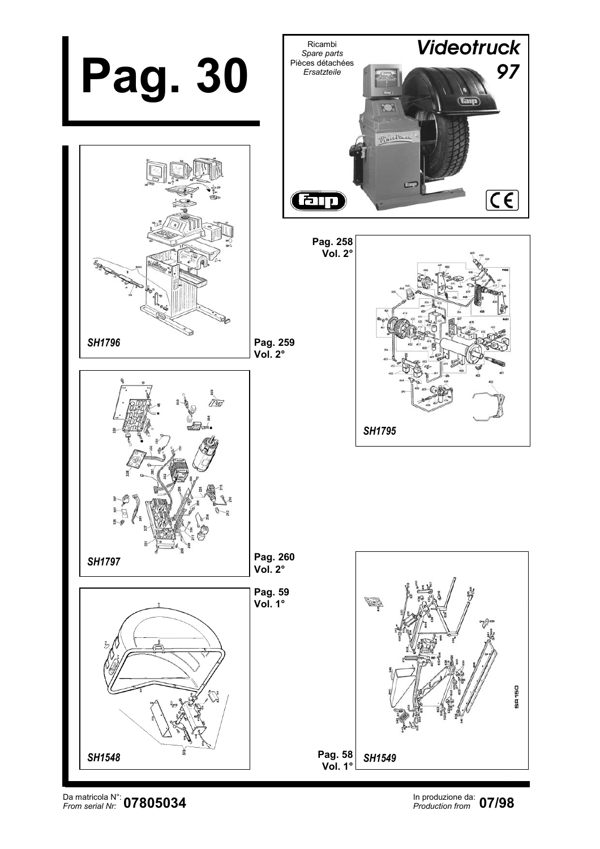

Da matricola N°: In produzione da: *From serial Nr: Production from*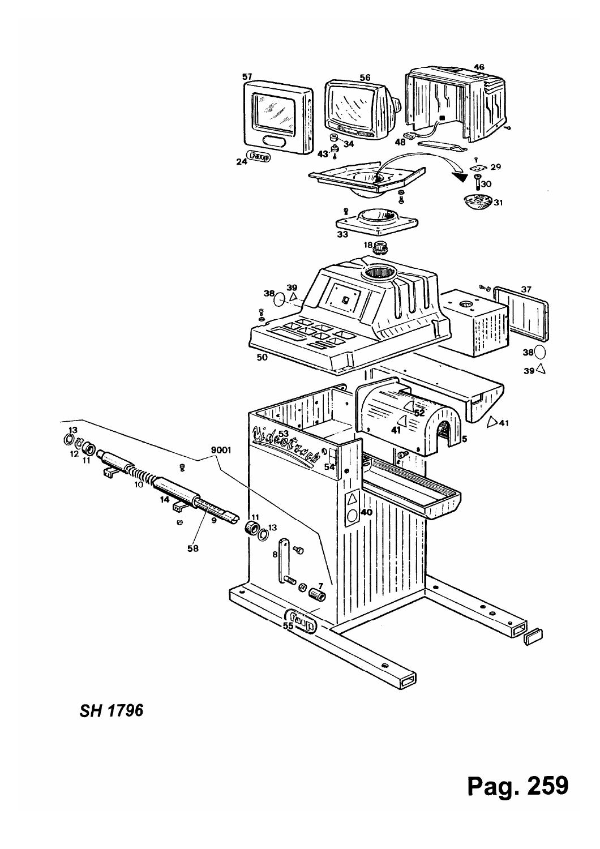# Pag. 259



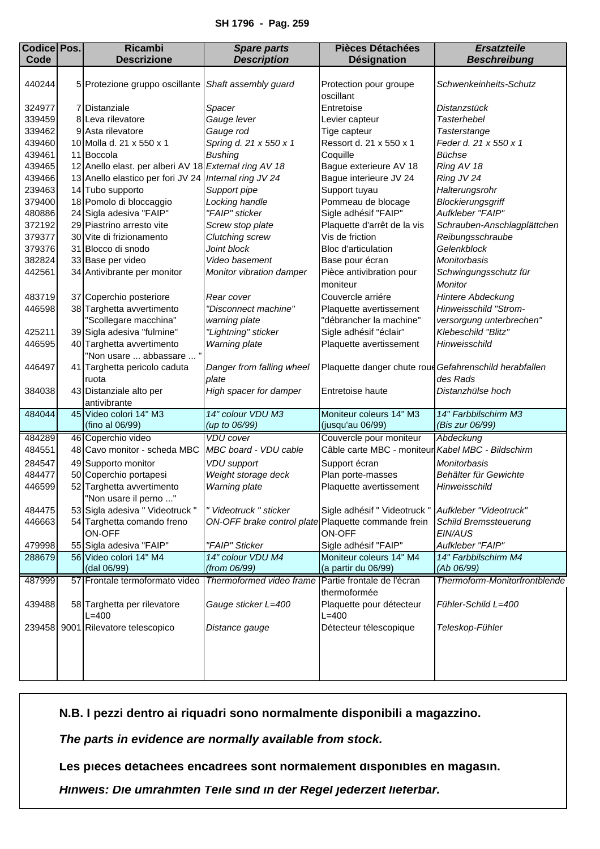## **SH 1796 - Pag. 259**

<span id="page-2-0"></span>

| <b>Codice Pos.</b> | <b>Ricambi</b>                                        | <b>Spare parts</b>                                  | <b>Pièces Détachées</b>                                | <b>Ersatzteile</b>            |
|--------------------|-------------------------------------------------------|-----------------------------------------------------|--------------------------------------------------------|-------------------------------|
| Code               | <b>Descrizione</b>                                    | <b>Description</b>                                  | <b>Désignation</b>                                     | <b>Beschreibung</b>           |
| 440244             | 5 Protezione gruppo oscillante                        | Shaft assembly guard                                | Protection pour groupe<br>oscillant                    | Schwenkeinheits-Schutz        |
| 324977             | 7 Distanziale                                         | Spacer                                              | Entretoise                                             | Distanzstück                  |
| 339459             | 8 Leva rilevatore                                     | Gauge lever                                         | Levier capteur                                         | <b>Tasterhebel</b>            |
| 339462             | 9 Asta rilevatore                                     | Gauge rod                                           | Tige capteur                                           | Tasterstange                  |
| 439460             | 10 Molla d. 21 x 550 x 1                              | Spring d. 21 x 550 x 1                              | Ressort d. 21 x 550 x 1                                | Feder d. 21 x 550 x 1         |
| 439461             | 11 Boccola                                            | <b>Bushing</b>                                      | Coquille                                               | Büchse                        |
| 439465             | 12 Anello elast. per alberi AV 18 External ring AV 18 |                                                     | Bague exterieure AV 18                                 | Ring AV 18                    |
| 439466             | 13 Anello elastico per fori JV 24                     | Internal ring JV 24                                 | Bague interieure JV 24                                 | Ring JV 24                    |
| 239463             | 14 Tubo supporto                                      | Support pipe                                        | Support tuyau                                          | Halterungsrohr                |
| 379400             | 18 Pomolo di bloccaggio                               | Locking handle                                      | Pommeau de blocage                                     | Blockierungsgriff             |
| 480886             | 24 Sigla adesiva "FAIP"                               | "FAIP" sticker                                      | Sigle adhésif "FAIP"                                   | Aufkleber "FAIP"              |
| 372192             | 29 Piastrino arresto vite                             | Screw stop plate                                    | Plaquette d'arrêt de la vis                            | Schrauben-Anschlagplättchen   |
| 379377             | 30 Vite di frizionamento                              | Clutching screw                                     | Vis de friction                                        | Reibungsschraube              |
| 379376             | 31 Blocco di snodo                                    | Joint block                                         | Bloc d'articulation                                    | Gelenkblock                   |
| 382824             | 33 Base per video                                     | Video basement                                      | Base pour écran                                        | Monitorbasis                  |
| 442561             | 34 Antivibrante per monitor                           | Monitor vibration damper                            | Pièce antivibration pour                               | Schwingungsschutz für         |
|                    |                                                       |                                                     | moniteur                                               | Monitor                       |
| 483719             | 37 Coperchio posteriore                               | Rear cover                                          | Couvercle arriére                                      | Hintere Abdeckung             |
| 446598             | 38 Targhetta avvertimento                             | "Disconnect machine"                                | Plaquette avertissement                                | Hinweisschild "Strom-         |
|                    | "Scollegare macchina"                                 | warning plate                                       | "débrancher la machine"                                | versorgung unterbrechen"      |
| 425211             | 39 Sigla adesiva "fulmine"                            | "Lightning" sticker                                 | Sigle adhésif "éclair"                                 | Klebeschild "Blitz"           |
| 446595             | 40 Targhetta avvertimento                             | Warning plate                                       | Plaquette avertissement                                | Hinweisschild                 |
|                    | "Non usare  abbassare  "                              |                                                     |                                                        |                               |
| 446497             | 41 Targhetta pericolo caduta                          | Danger from falling wheel                           | Plaquette danger chute roue Gefahrenschild herabfallen |                               |
|                    | ruota                                                 | plate                                               |                                                        | des Rads                      |
| 384038             | 43 Distanziale alto per                               | High spacer for damper                              | Entretoise haute                                       | Distanzhülse hoch             |
|                    | antivibrante                                          |                                                     |                                                        |                               |
| 484044             | 45 Video colori 14" M3                                | 14" colour VDU M3                                   | Moniteur coleurs 14" M3                                | 14" Farbbilschirm M3          |
|                    | (fino al 06/99)                                       | (up to 06/99)                                       | (jusqu'au 06/99)                                       | (Bis zur 06/99)               |
| 484289             | 46 Coperchio video                                    | <b>VDU</b> cover                                    | Couvercle pour moniteur                                | Abdeckung                     |
| 484551             | 48 Cavo monitor - scheda MBC                          | MBC board - VDU cable                               | Câble carte MBC - moniteur Kabel MBC - Bildschirm      |                               |
| 284547             | 49 Supporto monitor                                   | <b>VDU</b> support                                  | Support écran                                          | Monitorbasis                  |
| 484477             | 50 Coperchio portapesi                                | Weight storage deck                                 | Plan porte-masses                                      | Behälter für Gewichte         |
| 446599             | 52 Targhetta avvertimento                             | Warning plate                                       | Plaquette avertissement                                | Hinweisschild                 |
|                    | "Non usare il perno "                                 |                                                     |                                                        |                               |
| 484475             | 53 Sigla adesiva " Videotruck "                       | " Videotruck " sticker                              | Sigle adhésif " Videotruck "                           | Aufkleber "Videotruck"        |
| 446663             | 54 Targhetta comando freno                            | ON-OFF brake control plate Plaquette commande frein |                                                        | Schild Bremssteuerung         |
|                    | ON-OFF                                                |                                                     | ON-OFF                                                 | EIN/AUS                       |
| 479998             | 55 Sigla adesiva "FAIP"                               | "FAIP" Sticker                                      | Sigle adhésif "FAIP"                                   | Aufkleber "FAIP"              |
| 288679             | 56 Video colori 14" M4                                | 14" colour VDU M4                                   | Moniteur coleurs 14" M4                                | 14" Farbbilschirm M4          |
|                    | (dal 06/99)                                           | (from 06/99)                                        | (a partir du 06/99)                                    | (Ab 06/99)                    |
| 487999             | 57 Frontale termoformato video                        | Thermoformed video frame                            | Partie frontale de l'écran                             | Thermoform-Monitorfrontblende |
|                    |                                                       |                                                     | thermoformée                                           |                               |
| 439488             | 58 Targhetta per rilevatore                           | Gauge sticker L=400                                 | Plaquette pour détecteur                               | Fühler-Schild L=400           |
|                    | $L = 400$                                             |                                                     | $L=400$                                                |                               |
| 239458             | 9001 Rilevatore telescopico                           | Distance gauge                                      | Détecteur télescopique                                 | Teleskop-Fühler               |
|                    |                                                       |                                                     |                                                        |                               |
|                    |                                                       |                                                     |                                                        |                               |
|                    |                                                       |                                                     |                                                        |                               |
|                    |                                                       |                                                     |                                                        |                               |

**N.B. I pezzi dentro ai riquadri sono normalmente disponibili a magazzino.**

*The parts in evidence are normally available from stock.*

**Les pièces détachées encadrées sont normalement disponibles en magasin.**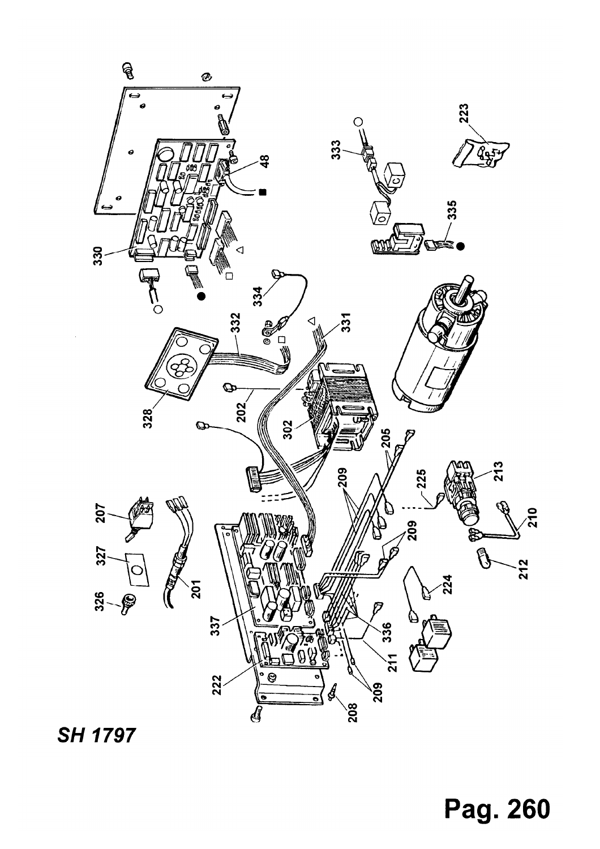

**SH 1797** 

Pag. 260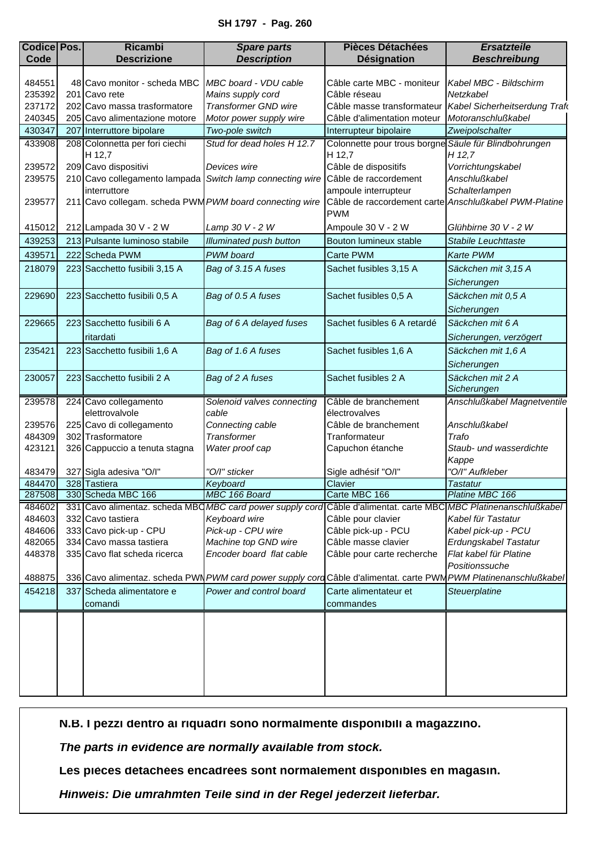## **SH 1797 - Pag. 260**

<span id="page-4-0"></span>

| <b>Codice Pos.</b> | <b>Ricambi</b>                                          | <b>Spare parts</b>                                        | <b>Pièces Détachées</b>                                             | <b>Ersatzteile</b>                                                                                               |
|--------------------|---------------------------------------------------------|-----------------------------------------------------------|---------------------------------------------------------------------|------------------------------------------------------------------------------------------------------------------|
| Code               | <b>Descrizione</b>                                      | <b>Description</b>                                        | Désignation                                                         | <b>Beschreibung</b>                                                                                              |
|                    |                                                         |                                                           |                                                                     |                                                                                                                  |
| 484551             | 48 Cavo monitor - scheda MBC                            | MBC board - VDU cable                                     | Câble carte MBC - moniteur                                          | Kabel MBC - Bildschirm                                                                                           |
| 235392             | 201 Cavo rete                                           | Mains supply cord                                         | Câble réseau                                                        | Netzkabel                                                                                                        |
| 237172             | 202 Cavo massa trasformatore                            | <b>Transformer GND wire</b>                               | Câble masse transformateur                                          | Kabel Sicherheitserdung Trafo                                                                                    |
| 240345             | 205 Cavo alimentazione motore                           | Motor power supply wire                                   | Câble d'alimentation moteur                                         | Motoranschlußkabel                                                                                               |
| 430347             | 207 Interruttore bipolare                               | Two-pole switch                                           | Interrupteur bipolaire                                              | Zweipolschalter                                                                                                  |
| 433908             | 208 Colonnetta per fori ciechi                          | Stud for dead holes H 12.7                                | Colonnette pour trous borgne Säule für Blindbohrungen               |                                                                                                                  |
|                    | H 12,7                                                  |                                                           | H 12,7                                                              | H 12,7                                                                                                           |
| 239572             | 209 Cavo dispositivi                                    | Devices wire                                              | Câble de dispositifs                                                | Vorrichtungskabel                                                                                                |
| 239575             |                                                         | 210 Cavo collegamento lampada Switch lamp connecting wire | Câble de raccordement                                               | Anschlußkabel                                                                                                    |
|                    | interruttore                                            |                                                           | ampoule interrupteur                                                | Schalterlampen                                                                                                   |
| 239577             | 211 Cavo collegam. scheda PWM PWM board connecting wire |                                                           | Câble de raccordement carte Anschlußkabel PWM-Platine<br><b>PWM</b> |                                                                                                                  |
| 415012             | 212 Lampada 30 V - 2 W                                  | Lamp 30 V - 2 W                                           | Ampoule 30 V - 2 W                                                  | Glühbirne 30 V - 2 W                                                                                             |
| 439253             | 213 Pulsante luminoso stabile                           | <b>Illuminated push button</b>                            | Bouton lumineux stable                                              | Stabile Leuchttaste                                                                                              |
| 439571             | 222 Scheda PWM                                          | PWM board                                                 | Carte PWM                                                           | Karte PWM                                                                                                        |
| 218079             | 223 Sacchetto fusibili 3,15 A                           | Bag of 3.15 A fuses                                       | Sachet fusibles 3,15 A                                              | Säckchen mit 3,15 A                                                                                              |
|                    |                                                         |                                                           |                                                                     | Sicherungen                                                                                                      |
| 229690             | 223 Sacchetto fusibili 0,5 A                            | Bag of 0.5 A fuses                                        | Sachet fusibles 0,5 A                                               | Säckchen mit 0,5 A                                                                                               |
|                    |                                                         |                                                           |                                                                     | Sicherungen                                                                                                      |
| 229665             | 223 Sacchetto fusibili 6 A                              | Bag of 6 A delayed fuses                                  | Sachet fusibles 6 A retardé                                         | Säckchen mit 6 A                                                                                                 |
|                    | ritardati                                               |                                                           |                                                                     | Sicherungen, verzögert                                                                                           |
| 235421             | 223 Sacchetto fusibili 1,6 A                            | Bag of 1.6 A fuses                                        | Sachet fusibles 1,6 A                                               | Säckchen mit 1,6 A                                                                                               |
|                    |                                                         |                                                           |                                                                     | Sicherungen                                                                                                      |
|                    |                                                         |                                                           |                                                                     |                                                                                                                  |
| 230057             | 223 Sacchetto fusibili 2 A                              | Bag of 2 A fuses                                          | Sachet fusibles 2 A                                                 | Säckchen mit 2 A<br>Sicherungen                                                                                  |
| 239578             | 224 Cavo collegamento                                   | Solenoid valves connecting                                | Câble de branchement                                                | Anschlußkabel Magnetventile                                                                                      |
|                    | elettrovalvole                                          | cable                                                     | électrovalves                                                       |                                                                                                                  |
| 239576             | 225 Cavo di collegamento                                | Connecting cable                                          | Câble de branchement                                                | Anschlußkabel                                                                                                    |
| 484309             | 302 Trasformatore                                       | Transformer                                               | Tranformateur                                                       | Trafo                                                                                                            |
| 423121             | 326 Cappuccio a tenuta stagna                           | Water proof cap                                           | Capuchon étanche                                                    | Staub- und wasserdichte                                                                                          |
|                    |                                                         |                                                           |                                                                     | Kappe                                                                                                            |
| 483479             | 327 Sigla adesiva "O/I"                                 | "O/I" sticker                                             | Sigle adhésif "O/I"                                                 | "O/I" Aufkleber                                                                                                  |
| 484470             | 328 Tastiera                                            | Keyboard                                                  | Clavier                                                             | <b>Tastatur</b>                                                                                                  |
| 287508             | 330 Scheda MBC 166                                      | MBC 166 Board                                             | Carte MBC 166                                                       | Platine MBC 166                                                                                                  |
| 484602             |                                                         | 331 Cavo alimentaz. scheda MBQ MBC card power supply cord | Câble d'alimentat. carte MBC MBC Platinenanschlußkabel              |                                                                                                                  |
| 484603             | 332 Cavo tastiera                                       | Keyboard wire                                             | Câble pour clavier                                                  | Kabel für Tastatur                                                                                               |
| 484606             | 333 Cavo pick-up - CPU                                  | Pick-up - CPU wire                                        | Câble pick-up - PCU                                                 | Kabel pick-up - PCU                                                                                              |
| 482065             | 334 Cavo massa tastiera                                 | Machine top GND wire                                      | Câble masse clavier                                                 | Erdungskabel Tastatur                                                                                            |
| 448378             | 335 Cavo flat scheda ricerca                            | Encoder board flat cable                                  | Câble pour carte recherche                                          | Flat kabel für Platine                                                                                           |
|                    |                                                         |                                                           |                                                                     | Positionssuche                                                                                                   |
| 488875             |                                                         |                                                           |                                                                     | 336 Cavo alimentaz. scheda PWN PWM card power supply cord Câble d'alimentat. carte PWM PWM Platinenanschlußkabel |
| 454218             | 337 Scheda alimentatore e                               | Power and control board                                   | Carte alimentateur et                                               | Steuerplatine                                                                                                    |
|                    | comandi                                                 |                                                           | commandes                                                           |                                                                                                                  |
|                    |                                                         |                                                           |                                                                     |                                                                                                                  |
|                    |                                                         |                                                           |                                                                     |                                                                                                                  |
|                    |                                                         |                                                           |                                                                     |                                                                                                                  |
|                    |                                                         |                                                           |                                                                     |                                                                                                                  |
|                    |                                                         |                                                           |                                                                     |                                                                                                                  |
|                    |                                                         |                                                           |                                                                     |                                                                                                                  |
|                    |                                                         |                                                           |                                                                     |                                                                                                                  |

**N.B. I pezzi dentro ai riquadri sono normalmente disponibili a magazzino.**

*The parts in evidence are normally available from stock.*

**Les pièces détachées encadrées sont normalement disponibles en magasin.**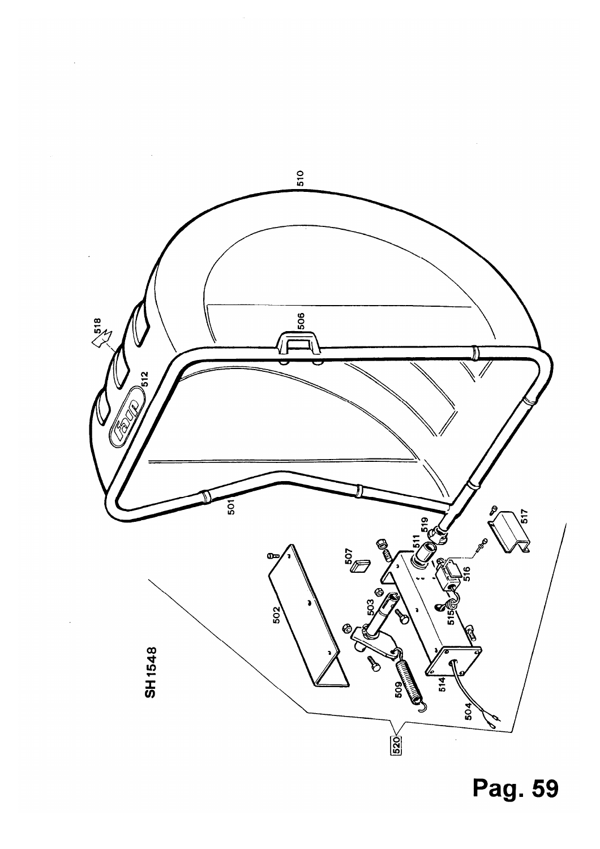

 $\ddot{\phantom{0}}$ 

Pag. 59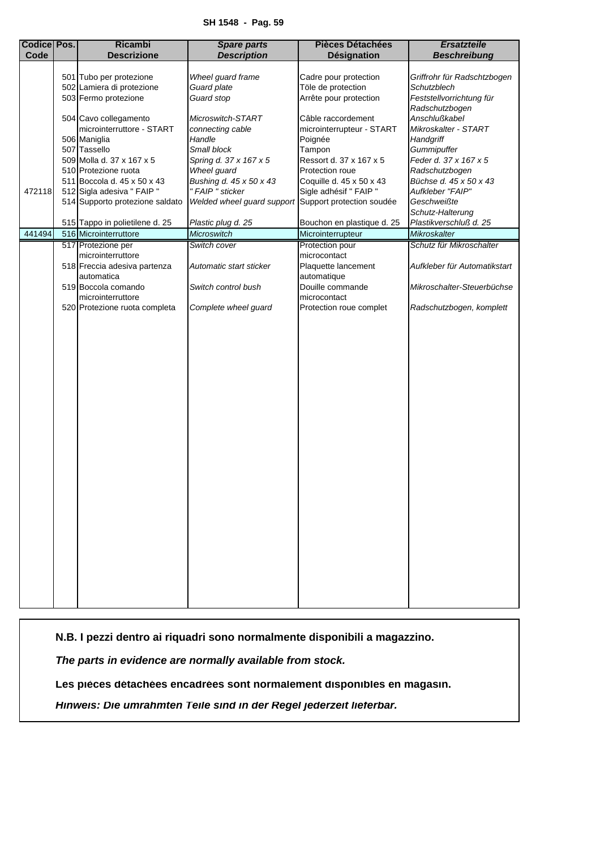<span id="page-6-0"></span>

| <b>Codice Pos.</b><br>Code | <b>Ricambi</b><br><b>Descrizione</b>                    | <b>Spare parts</b><br><b>Description</b>             | <b>Pièces Détachées</b><br>Désignation          | <b>Ersatzteile</b><br><b>Beschreibung</b>  |
|----------------------------|---------------------------------------------------------|------------------------------------------------------|-------------------------------------------------|--------------------------------------------|
|                            |                                                         |                                                      |                                                 |                                            |
|                            | 501 Tubo per protezione                                 | Wheel guard frame                                    | Cadre pour protection                           | Griffrohr für Radschtzbogen                |
|                            | 502 Lamiera di protezione                               | Guard plate                                          | Töle de protection                              | Schutzblech                                |
|                            | 503 Fermo protezione                                    | Guard stop                                           | Arrête pour protection                          | Feststellvorrichtung für<br>Radschutzbogen |
|                            | 504 Cavo collegamento                                   | Microswitch-START                                    | Câble raccordement                              | Anschlußkabel                              |
|                            | microinterruttore - START                               | connecting cable                                     | microinterrupteur - START                       | Mikroskalter - START                       |
|                            | 506 Maniglia                                            | Handle                                               | Poignée                                         | Handgriff                                  |
|                            | 507 Tassello                                            | Small block                                          | Tampon                                          | Gummipuffer                                |
|                            | 509 Molla d. 37 x 167 x 5                               | Spring d. 37 x 167 x 5                               | Ressort d. 37 x 167 x 5                         | Feder d. 37 x 167 x 5                      |
|                            | 510 Protezione ruota                                    | Wheel guard                                          | Protection roue                                 | Radschutzbogen                             |
|                            | 511 Boccola d. 45 x 50 x 43                             | Bushing d. 45 x 50 x 43                              | Coquille d. 45 x 50 x 43                        | Büchse d. 45 x 50 x 43                     |
| 472118                     | 512 Sigla adesiva " FAIP "                              | " FAIP " sticker                                     | Sigle adhésif " FAIP "                          | Aufkleber "FAIP"                           |
|                            | 514 Supporto protezione saldato                         | Welded wheel guard support Support protection soudée |                                                 | Geschweißte                                |
|                            |                                                         |                                                      |                                                 | Schutz-Halterung<br>Plastikverschluß d. 25 |
| 441494                     | 515 Tappo in polietilene d. 25<br>516 Microinterruttore | Plastic plug d. 25<br>Microswitch                    | Bouchon en plastique d. 25<br>Microinterrupteur | Mikroskalter                               |
|                            | 517 Protezione per                                      | Switch cover                                         | Protection pour                                 | Schutz für Mikroschalter                   |
|                            | microinterruttore                                       |                                                      | microcontact                                    |                                            |
|                            | 518 Freccia adesiva partenza                            | Automatic start sticker                              | Plaquette lancement                             | Aufkleber für Automatikstart               |
|                            | automatica                                              |                                                      | automatique                                     |                                            |
|                            | 519 Boccola comando                                     | Switch control bush                                  | Douille commande                                | Mikroschalter-Steuerbüchse                 |
|                            | microinterruttore                                       |                                                      | microcontact                                    |                                            |
|                            | 520 Protezione ruota completa                           | Complete wheel guard                                 | Protection roue complet                         | Radschutzbogen, komplett                   |
|                            |                                                         |                                                      |                                                 |                                            |
|                            |                                                         |                                                      |                                                 |                                            |
|                            |                                                         |                                                      |                                                 |                                            |
|                            |                                                         |                                                      |                                                 |                                            |
|                            |                                                         |                                                      |                                                 |                                            |
|                            |                                                         |                                                      |                                                 |                                            |
|                            |                                                         |                                                      |                                                 |                                            |
|                            |                                                         |                                                      |                                                 |                                            |
|                            |                                                         |                                                      |                                                 |                                            |
|                            |                                                         |                                                      |                                                 |                                            |
|                            |                                                         |                                                      |                                                 |                                            |
|                            |                                                         |                                                      |                                                 |                                            |
|                            |                                                         |                                                      |                                                 |                                            |
|                            |                                                         |                                                      |                                                 |                                            |
|                            |                                                         |                                                      |                                                 |                                            |
|                            |                                                         |                                                      |                                                 |                                            |
|                            |                                                         |                                                      |                                                 |                                            |
|                            |                                                         |                                                      |                                                 |                                            |
|                            |                                                         |                                                      |                                                 |                                            |
|                            |                                                         |                                                      |                                                 |                                            |
|                            |                                                         |                                                      |                                                 |                                            |
|                            |                                                         |                                                      |                                                 |                                            |
|                            |                                                         |                                                      |                                                 |                                            |
|                            |                                                         |                                                      |                                                 |                                            |
|                            |                                                         |                                                      |                                                 |                                            |
|                            |                                                         |                                                      |                                                 |                                            |

**N.B. I pezzi dentro ai riquadri sono normalmente disponibili a magazzino.**

*The parts in evidence are normally available from stock.*

**Les pièces détachées encadrées sont normalement disponibles en magasin.**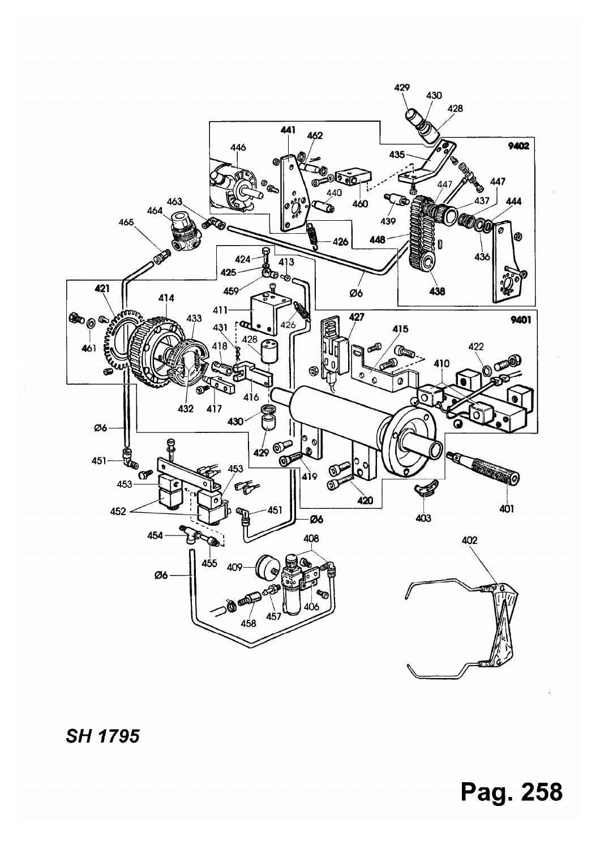

**SH 1795** 

# Pag. 258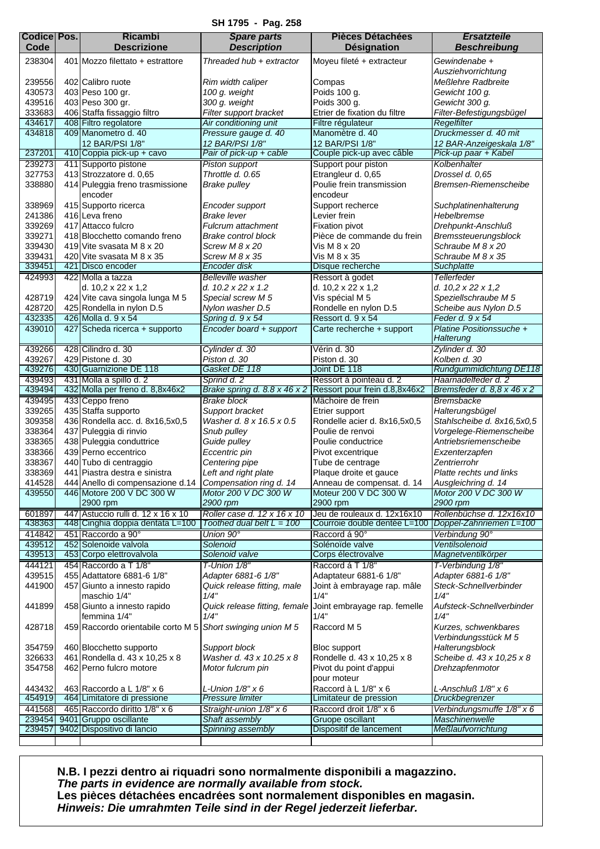**SH 1795 - Pag. 258**

<span id="page-8-0"></span>

| <b>Codice Pos.</b><br>Code | <b>Ricambi</b><br><b>Descrizione</b>                      | <b>Spare parts</b><br><b>Description</b>   | <b>Pièces Détachées</b><br><b>Désignation</b>              | <b>Ersatzteile</b><br><b>Beschreibung</b>        |
|----------------------------|-----------------------------------------------------------|--------------------------------------------|------------------------------------------------------------|--------------------------------------------------|
| 238304                     | 401 Mozzo filettato + estrattore                          | Threaded hub + extractor                   | Moyeu fileté + extracteur                                  | Gewindenabe +                                    |
|                            |                                                           |                                            |                                                            | Ausziehvorrichtung                               |
| 239556                     | 402 Calibro ruote                                         | Rim width caliper                          | Compas                                                     | Meßlehre Radbreite                               |
| 430573                     | 403 Peso 100 gr.                                          | 100 g. weight                              | Poids 100 g.                                               | Gewicht 100 a.                                   |
| 439516                     | 403 Peso 300 gr.                                          | 300 g. weight                              | Poids 300 g.                                               | Gewicht 300 g.                                   |
| 333683                     | 406 Staffa fissaggio filtro                               | Filter support bracket                     | Etrier de fixation du filtre                               | Filter-Befestigungsbügel                         |
| 434617                     | 408 Filtro regolatore                                     | Air conditioning unit                      | Filtre régulateur                                          | Regelfilter                                      |
| 434818                     | 409 Manometro d. 40                                       | Pressure gauge d. 40                       | Manomètre d. 40                                            | Druckmesser d. 40 mit                            |
| 237201                     | 12 BAR/PSI 1/8"<br>410 Coppia pick-up + cavo              | 12 BAR/PSI 1/8"<br>Pair of pick-up + cable | 12 BAR/PSI 1/8"<br>Couple pick-up avec câble               | 12 BAR-Anzeigeskala 1/8"<br>Pick-up paar + Kabel |
| 239273                     | 411 Supporto pistone                                      | Piston support                             | Support pour piston                                        | Kolbenhalter                                     |
| 327753                     | 413 Strozzatore d. 0.65                                   | Throttle d. 0.65                           | Etrangleur d. 0,65                                         | Drossel d. 0,65                                  |
| 338880                     | 414 Puleggia freno trasmissione                           | <b>Brake pulley</b>                        | Poulie frein transmission                                  | Bremsen-Riemenscheibe                            |
|                            | encoder                                                   |                                            | encodeur                                                   |                                                  |
| 338969                     | 415 Supporto ricerca                                      | Encoder support                            | Support recherce                                           | Suchplatinenhalterung                            |
| 241386                     | 416 Leva freno                                            | <b>Brake lever</b>                         | Levier frein                                               | Hebelbremse                                      |
| 339269                     | 417 Attacco fulcro                                        | Fulcrum attachment                         | <b>Fixation pivot</b>                                      | Drehpunkt-Anschluß                               |
| 339271<br>339430           | 418 Blocchetto comando freno<br>419 Vite svasata M 8 x 20 | Brake control block                        | Pièce de commande du frein<br>Vis M 8 x 20                 | Bremssteuerungsblock<br>Schraube M 8 x 20        |
| 339431                     | 420 Vite svasata M 8 x 35                                 | Screw M 8 x 20<br>Screw M 8 x 35           | Vis M 8 x 35                                               | Schraube M 8 x 35                                |
| 339451                     | 421 Disco encoder                                         | Encoder disk                               | Disque recherche                                           | Suchplatte                                       |
| 424993                     | 422 Molla a tazza                                         | Belleville washer                          | Ressort à godet                                            | Tellerfeder                                      |
|                            | d. 10,2 x 22 x 1,2                                        | d. 10.2 x 22 x 1.2                         | d. 10,2 x 22 x 1,2                                         | d. 10,2 x 22 x 1,2                               |
| 428719                     | 424 Vite cava singola lunga M 5                           | Special screw M 5                          | Vis spécial M 5                                            | Speziellschraube M 5                             |
| 428720                     | 425 Rondella in nylon D.5                                 | Nylon washer D.5                           | Rondelle en nylon D.5                                      | Scheibe aus Nylon D.5                            |
| 432335                     | 426 Molla d. 9 x 54                                       | Spring d. 9 x 54                           | Ressort d. 9 x 54                                          | Feder d. 9 x 54                                  |
| 439010                     | 427 Scheda ricerca + supporto                             | Encoder board + support                    | Carte recherche + support                                  | Platine Positionssuche +                         |
|                            |                                                           |                                            |                                                            | Halterung                                        |
| 439266<br>439267           | 428 Cilindro d. 30<br>429 Pistone d. 30                   | Cylinder d. 30<br>Piston d. 30             | Vérin d. 30<br>Piston d. 30                                | Zylinder d. 30<br>Kolben d. 30                   |
| 439276                     | 430 Guarnizione DE 118                                    | Gasket DE 118                              | Joint DE 118                                               | Rundgummidichtung DE118                          |
| 439493                     | 431 Molla a spillo d. 2                                   | Sprind d. 2                                | Ressort à pointeau d. 2                                    | Haarnadelfeder d. 2                              |
| 439494                     | 432 Molla per freno d. 8,8x46x2                           | Brake spring d. 8.8 x 46 x 2               | Ressort pour frein d.8,8x46x2                              | Bremsfeder d. 8,8 x 46 x 2                       |
| 439495                     | 433 Ceppo freno                                           | Brake block                                | Mächoire de frein                                          | <b>Bremsbacke</b>                                |
| 339265                     | 435 Staffa supporto                                       | Support bracket                            | Etrier support                                             | Halterungsbügel                                  |
| 309358                     | 436 Rondella acc. d. 8x16,5x0,5                           | Washer d. 8 x 16.5 x 0.5                   | Rondelle acier d. 8x16,5x0,5                               | Stahlscheibe d. 8x16,5x0,5                       |
| 338364                     | 437 Puleggia di rinvio                                    | Snub pulley                                | Poulie de renvoi                                           | Vorgelege-Riemenscheibe                          |
| 338365<br>338366           | 438 Puleggia conduttrice<br>439 Perno eccentrico          | Guide pulley<br>Eccentric pin              | Poulie conductrice<br>Pivot excentrique                    | Antriebsriemenscheibe<br>Exzenterzapfen          |
| 338367                     | 440 Tubo di centraggio                                    | Centering pipe                             | Tube de centrage                                           | Zentrierrohr                                     |
| 338369                     | 441 Piastra destra e sinistra                             | Left and right plate                       | Plaque droite et gauce                                     | Platte rechts und links                          |
| 414528                     | 444 Anello di compensazione d.14                          | Compensation ring d. 14                    | Anneau de compensat. d. 14                                 | Ausgleichring d. 14                              |
| 439550                     | 446 Motore 200 V DC 300 W                                 | Motor 200 V DC 300 W                       | Moteur 200 V DC 300 W                                      | Motor 200 V DC 300 W                             |
|                            | 2900 rpm                                                  | 2900 rpm                                   | 2900 rpm                                                   | 2900 rpm                                         |
| 601897                     | 447 Astuccio rulli d. 12 x 16 x 10                        | Roller case d. 12 x 16 x 10                | Jeu de rouleaux d. 12x16x10                                | Rollenbüchse d. 12x16x10                         |
| 438363                     | 448 Cinghia doppia dentata L=100                          | Toothed dual belt $L = 100$                | Courroie double dentée L=100                               | Doppel-Zahnriemen L=100                          |
| 414842<br>439512           | 451 Raccordo a 90°<br>452 Solenoide valvola               | Union 90°<br>Solenoid                      | Raccord á 90°<br>Solénoïde valve                           | Verbindung 90°<br>Ventilsolenoid                 |
| 439513                     | 453 Corpo elettrovalvola                                  | Solenoid valve                             | Corps électrovalve                                         | Magnetventilkörper                               |
| 444121                     | 454 Raccordo a T 1/8"                                     | T-Union 1/8"                               | Raccord á T 1/8"                                           | T-Verbindung 1/8"                                |
| 439515                     | 455 Adattatore 6881-6 1/8"                                | Adapter 6881-6 1/8"                        | Adaptateur 6881-6 1/8"                                     | Adapter 6881-6 1/8"                              |
| 441900                     | 457 Giunto a innesto rapido                               | Quick release fitting, male                | Joint à embrayage rap. mâle                                | Steck-Schnellverbinder                           |
|                            | maschio 1/4"                                              | 1/4"                                       | 1/4"                                                       | 1/4"                                             |
| 441899                     | 458 Giunto a innesto rapido                               |                                            | Quick release fitting, female Joint embrayage rap. femelle | Aufsteck-Schnellverbinder                        |
|                            | femmina 1/4"                                              | 1/4"                                       | 1/4"                                                       | 1/4"                                             |
| 428718                     | 459 Raccordo orientabile corto M 5                        | Short swinging union M 5                   | Raccord M <sub>5</sub>                                     | Kurzes, schwenkbares                             |
|                            |                                                           |                                            |                                                            | Verbindungsstück M 5                             |
| 354759<br>326633           | 460 Blocchetto supporto<br>461 Rondella d. 43 x 10,25 x 8 | Support block<br>Washer d. 43 x 10.25 x 8  | Bloc support<br>Rondelle d. 43 x 10,25 x 8                 | Halterungsblock<br>Scheibe d. 43 x 10,25 x 8     |
| 354758                     | 462 Perno fulcro motore                                   | Motor fulcrum pin                          | Pivot du point d'appui                                     | Drehzapfenmotor                                  |
|                            |                                                           |                                            | pour moteur                                                |                                                  |
| 443432                     | 463 Raccordo a L 1/8" x 6                                 | L-Union 1/8" x 6                           | Raccord à L 1/8" x 6                                       | L-Anschluß $1/8" \times 6$                       |
| 454919                     | 464 Limitatore di pressione                               | Pressure limiter                           | Limitateur de pression                                     | Druckbegrenzer                                   |
| 441568                     | 465 Raccordo diritto 1/8" x 6                             | Straight-union 1/8" x 6                    | Raccord droit 1/8" x 6                                     | Verbindungsmuffe 1/8" x 6                        |
| 239454                     | 9401 Gruppo oscillante                                    | Shaft assembly                             | Gruope oscillant                                           | Maschinenwelle                                   |
| 239457                     | 9402 Dispositivo di lancio                                | Spinning assembly                          | Dispositif de lancement                                    | <b>Meßlaufvorrichtung</b>                        |
|                            |                                                           |                                            |                                                            |                                                  |

**N.B. I pezzi dentro ai riquadri sono normalmente disponibili a magazzino.** *The parts in evidence are normally available from stock.* **Les pièces détachées encadrées sont normalement disponibles en magasin.** *Hinweis: Die umrahmten Teile sind in der Regel jederzeit lieferbar.*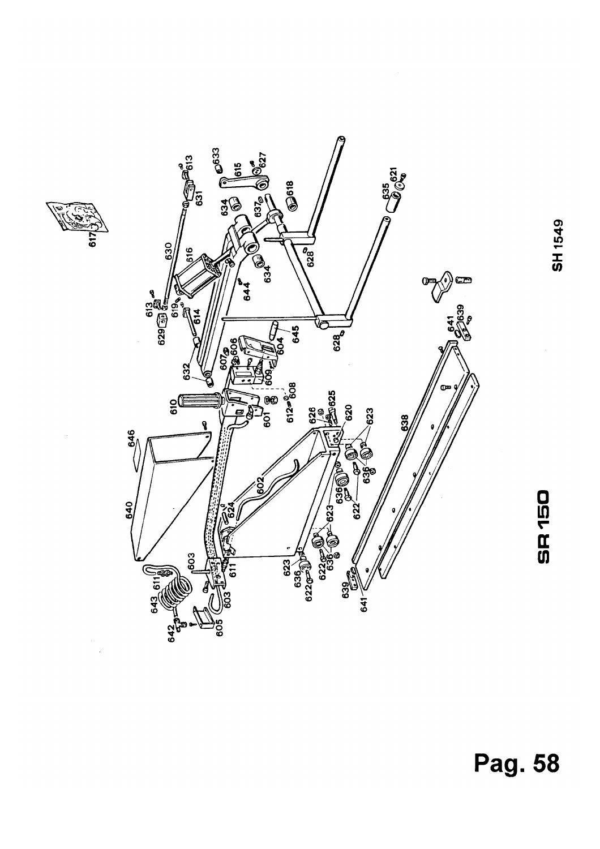



SH 1549

SR<sub>150</sub>